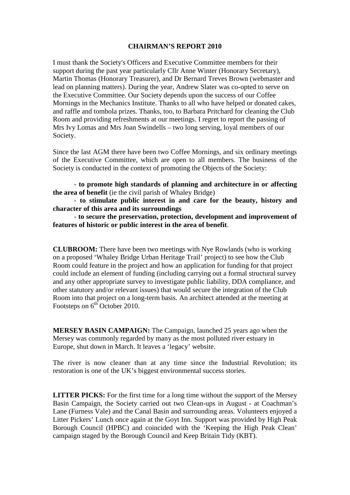## **CHAIRMAN'S REPORT 2010**

I must thank the Society's Officers and Executive Committee members for their support during the past year particularly Cllr Anne Winter (Honorary Secretary), Martin Thomas (Honorary Treasurer), and Dr Bernard Treves Brown (webmaster and lead on planning matters). During the year, Andrew Slater was co-opted to serve on the Executive Committee. Our Society depends upon the success of our Coffee Mornings in the Mechanics Institute. Thanks to all who have helped or donated cakes, and raffle and tombola prizes. Thanks, too, to Barbara Pritchard for cleaning the Club Room and providing refreshments at our meetings. I regret to report the passing of Mrs Ivy Lomas and Mrs Joan Swindells – two long serving, loyal members of our Society.

Since the last AGM there have been two Coffee Mornings, and six ordinary meetings of the Executive Committee, which are open to all members. The business of the Society is conducted in the context of promoting the Objects of the Society:

- **to promote high standards of planning and architecture in or affecting the area of benefit** (ie the civil parish of Whaley Bridge)

- **to stimulate public interest in and care for the beauty, history and character of this area and its surroundings**

- **to secure the preservation, protection, development and improvement of features of historic or public interest in the area of benefit**.

**CLUBROOM:** There have been two meetings with Nye Rowlands (who is working on a proposed 'Whaley Bridge Urban Heritage Trail' project) to see how the Club Room could feature in the project and how an application for funding for that project could include an element of funding (including carrying out a formal structural survey and any other appropriate survey to investigate public liability, DDA compliance, and other statutory and/or relevant issues) that would secure the integration of the Club Room into that project on a long-term basis. An architect attended at the meeting at Footsteps on  $6<sup>th</sup>$  October 2010.

**MERSEY BASIN CAMPAIGN:** The Campaign, launched 25 years ago when the Mersey was commonly regarded by many as the most polluted river estuary in Europe, shut down in March. It leaves a 'legacy' website.

The river is now cleaner than at any time since the Industrial Revolution; its restoration is one of the UK's biggest environmental success stories.

**LITTER PICKS:** For the first time for a long time without the support of the Mersey Basin Campaign, the Society carried out two Clean-ups in August - at Coachman's Lane (Furness Vale) and the Canal Basin and surrounding areas. Volunteers enjoyed a Litter Pickers' Lunch once again at the Goyt Inn. Support was provided by High Peak Borough Council (HPBC) and coincided with the 'Keeping the High Peak Clean' campaign staged by the Borough Council and Keep Britain Tidy (KBT).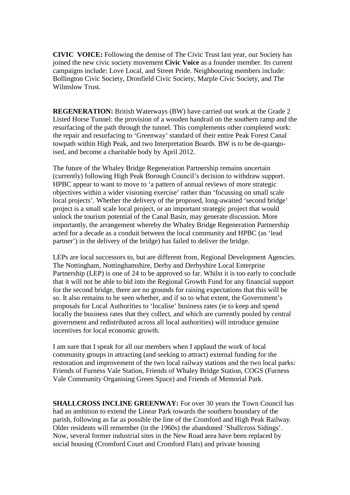**CIVIC VOICE:** Following the demise of The Civic Trust last year, our Society has joined the new civic society movement **Civic Voice** as a founder member. Its current campaigns include: Love Local, and Street Pride. Neighbouring members include: Bollington Civic Society, Dronfield Civic Society, Marple Civic Society, and The Wilmslow Trust.

**REGENERATION:** British Waterways (BW) have carried out work at the Grade 2 Listed Horse Tunnel: the provision of a wooden handrail on the southern ramp and the resurfacing of the path through the tunnel. This complements other completed work: the repair and resurfacing to 'Greenway' standard of their entire Peak Forest Canal towpath within High Peak, and two Interpretation Boards. BW is to be de-quangoised, and become a charitable body by April 2012.

The future of the Whaley Bridge Regeneration Partnership remains uncertain (currently) following High Peak Borough Council's decision to withdraw support. HPBC appear to want to move to 'a pattern of annual reviews of more strategic objectives within a wider visioning exercise' rather than 'focussing on small scale local projects'. Whether the delivery of the proposed, long-awaited 'second bridge' project is a small scale local project, or an important strategic project that would unlock the tourism potential of the Canal Basin, may generate discussion. More importantly, the arrangement whereby the Whaley Bridge Regeneration Partnership acted for a decade as a conduit between the local community and HPBC (as 'lead partner') in the delivery of the bridge) has failed to deliver the bridge.

LEPs are local successors to, but are different from, Regional Development Agencies. The Nottingham, Nottinghamshire, Derby and Derbyshire Local Enterprise Partnership (LEP) is one of 24 to be approved so far. Whilst it is too early to conclude that it will not be able to bid into the Regional Growth Fund for any financial support for the second bridge, there are no grounds for raising expectations that this will be so. It also remains to be seen whether, and if so to what extent, the Government's proposals for Local Authorities to 'localise' business rates (ie to keep and spend locally the business rates that they collect, and which are currently pooled by central government and redistributed across all local authorities) will introduce genuine incentives for local economic growth.

I am sure that I speak for all our members when I applaud the work of local community groups in attracting (and seeking to attract) external funding for the restoration and improvement of the two local railway stations and the two local parks: Friends of Furness Vale Station, Friends of Whaley Bridge Station, COGS (Furness Vale Community Organising Green Space) and Friends of Memorial Park.

**SHALLCROSS INCLINE GREENWAY:** For over 30 years the Town Council has had an ambition to extend the Linear Park towards the southern boundary of the parish, following as far as possible the line of the Cromford and High Peak Railway. Older residents will remember (in the 1960s) the abandoned 'Shallcross Sidings'. Now, several former industrial sites in the New Road area have been replaced by social housing (Cromford Court and Cromford Flats) and private housing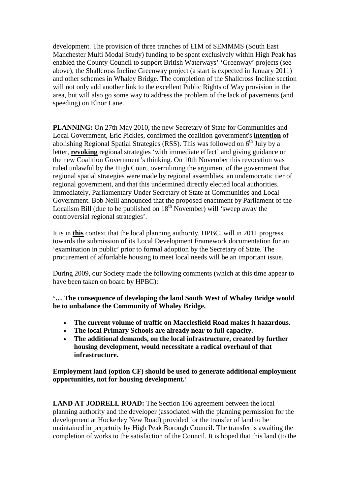development. The provision of three tranches of £1M of SEMMMS (South East Manchester Multi Modal Study) funding to be spent exclusively within High Peak has enabled the County Council to support British Waterways' 'Greenway' projects (see above), the Shallcross Incline Greenway project (a start is expected in January 2011) and other schemes in Whaley Bridge. The completion of the Shallcross Incline section will not only add another link to the excellent Public Rights of Way provision in the area, but will also go some way to address the problem of the lack of pavements (and speeding) on Elnor Lane.

**PLANNING:** On 27th May 2010, the new Secretary of State for Communities and Local Government, Eric Pickles, confirmed the coalition government's **intention** of abolishing Regional Spatial Strategies (RSS). This was followed on  $6<sup>th</sup>$  July by a letter, **revoking** regional strategies 'with immediate effect' and giving guidance on the new Coalition Government's thinking. On 10th November this revocation was ruled unlawful by the High Court, overrulining the argument of the government that regional spatial strategies were made by regional assemblies, an undemocratic tier of regional government, and that this undermined directly elected local authorities. Immediately, Parliamentary Under Secretary of State at Communities and Local Government. Bob Neill announced that the proposed enactment by Parliament of the Localism Bill (due to be published on  $18<sup>th</sup>$  November) will 'sweep away the controversial regional strategies'.

It is in **this** context that the local planning authority, HPBC, will in 2011 progress towards the submission of its Local Development Framework documentation for an 'examination in public' prior to formal adoption by the Secretary of State. The procurement of affordable housing to meet local needs will be an important issue.

During 2009, our Society made the following comments (which at this time appear to have been taken on board by HPBC):

**'… The consequence of developing the land South West of Whaley Bridge would be to unbalance the Community of Whaley Bridge.**

- **The current volume of traffic on Macclesfield Road makes it hazardous.**
- **The local Primary Schools are already near to full capacity.**
- **The additional demands, on the local infrastructure, created by further housing development, would necessitate a radical overhaul of that infrastructure.**

**Employment land (option CF) should be used to generate additional employment opportunities, not for housing development.**'

LAND AT JODRELL ROAD: The Section 106 agreement between the local planning authority and the developer (associated with the planning permission for the development at Hockerley New Road) provided for the transfer of land to be maintained in perpetuity by High Peak Borough Council. The transfer is awaiting the completion of works to the satisfaction of the Council. It is hoped that this land (to the